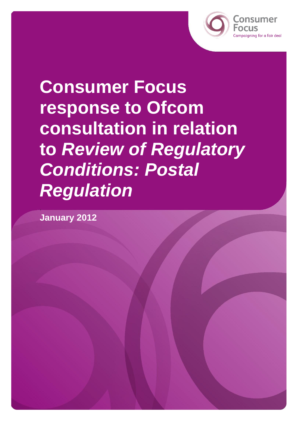

**Consumer Focus response to Ofcom consultation in relation to** *Review of Regulatory Conditions: Postal Regulation* 

**January 2012**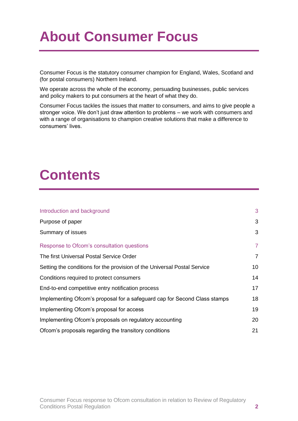# **About Consumer Focus**

Consumer Focus is the statutory consumer champion for England, Wales, Scotland and (for postal consumers) Northern Ireland.

We operate across the whole of the economy, persuading businesses, public services and policy makers to put consumers at the heart of what they do.

Consumer Focus tackles the issues that matter to consumers, and aims to give people a stronger voice. We don't just draw attention to problems – we work with consumers and with a range of organisations to champion creative solutions that make a difference to consumers' lives.

# **Contents**

| Introduction and background                                               | 3              |
|---------------------------------------------------------------------------|----------------|
| Purpose of paper                                                          | 3              |
| Summary of issues                                                         | 3              |
| Response to Ofcom's consultation questions                                | $\overline{7}$ |
| The first Universal Postal Service Order                                  | $\overline{7}$ |
| Setting the conditions for the provision of the Universal Postal Service  | 10             |
| Conditions required to protect consumers                                  | 14             |
| End-to-end competitive entry notification process                         | 17             |
| Implementing Ofcom's proposal for a safeguard cap for Second Class stamps | 18             |
| Implementing Ofcom's proposal for access                                  | 19             |
| Implementing Ofcom's proposals on regulatory accounting                   | 20             |
| Ofcom's proposals regarding the transitory conditions                     | 21             |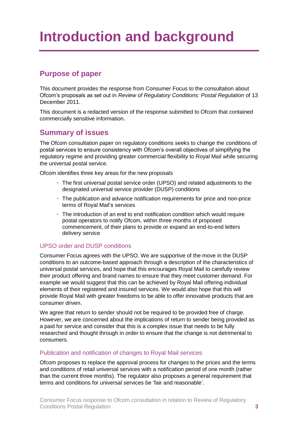# <span id="page-2-0"></span>**Introduction and background**

# <span id="page-2-1"></span>**Purpose of paper**

This document provides the response from Consumer Focus to the consultation about Ofcom's proposals as set out in *Review of Regulatory Conditions: Postal Regulation* of 13 December 2011.

This document is a redacted version of the response submitted to Ofcom that contained commercially sensitive information.

# <span id="page-2-2"></span>**Summary of issues**

The Ofcom consultation paper on regulatory conditions seeks to change the conditions of postal services to ensure consistency with Ofcom's overall objectives of simplifying the regulatory regime and providing greater commercial flexibility to Royal Mail while securing the universal postal service.

Ofcom identifies three key areas for the new proposals

- The first universal postal service order (UPSO) and related adjustments to the designated universal service provider (DUSP) conditions
- The publication and advance notification requirements for price and non-price terms of Royal Mail's services
- The introduction of an end to end notification condition which would require postal operators to notify Ofcom, within three months of proposed commencement, of their plans to provide or expand an end-to-end letters delivery service

## UPSO order and DUSP conditions

Consumer Focus agrees with the UPSO. We are supportive of the move in the DUSP conditions to an outcome-based approach through a description of the characteristics of universal postal services, and hope that this encourages Royal Mail to carefully review their product offering and brand names to ensure that they meet customer demand. For example we would suggest that this can be achieved by Royal Mail offering individual elements of their registered and insured services. We would also hope that this will provide Royal Mail with greater freedoms to be able to offer innovative products that are consumer driven.

We agree that return to sender should not be required to be provided free of charge. However, we are concerned about the implications of return to sender being provided as a paid for service and consider that this is a complex issue that needs to be fully researched and thought through in order to ensure that the change is not detrimental to consumers.

### Publication and notification of changes to Royal Mail services

Ofcom proposes to replace the approval process for changes to the prices and the terms and conditions of retail universal services with a notification period of one month (rather than the current three months). The regulator also proposes a general requirement that terms and conditions for universal services be 'fair and reasonable'.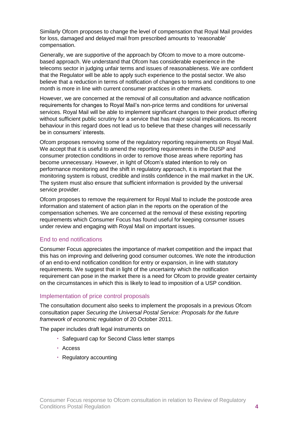Similarly Ofcom proposes to change the level of compensation that Royal Mail provides for loss, damaged and delayed mail from prescribed amounts to 'reasonable' compensation.

Generally, we are supportive of the approach by Ofcom to move to a more outcomebased approach. We understand that Ofcom has considerable experience in the telecoms sector in judging unfair terms and issues of reasonableness. We are confident that the Regulator will be able to apply such experience to the postal sector. We also believe that a reduction in terms of notification of changes to terms and conditions to one month is more in line with current consumer practices in other markets.

However, we are concerned at the removal of all consultation and advance notification requirements for changes to Royal Mail's non-price terms and conditions for universal services. Royal Mail will be able to implement significant changes to their product offering without sufficient public scrutiny for a service that has major social implications. Its recent behaviour in this regard does not lead us to believe that these changes will necessarily be in consumers' interests.

Ofcom proposes removing some of the regulatory reporting requirements on Royal Mail. We accept that it is useful to amend the reporting requirements in the DUSP and consumer protection conditions in order to remove those areas where reporting has become unnecessary. However, in light of Ofcom's stated intention to rely on performance monitoring and the shift in regulatory approach, it is important that the monitoring system is robust, credible and instils confidence in the mail market in the UK. The system must also ensure that sufficient information is provided by the universal service provider.

Ofcom proposes to remove the requirement for Royal Mail to include the postcode area information and statement of action plan in the reports on the operation of the compensation schemes. We are concerned at the removal of these existing reporting requirements which Consumer Focus has found useful for keeping consumer issues under review and engaging with Royal Mail on important issues.

### End to end notifications

Consumer Focus appreciates the importance of market competition and the impact that this has on improving and delivering good consumer outcomes. We note the introduction of an end-to-end notification condition for entry or expansion, in line with statutory requirements. We suggest that in light of the uncertainty which the notification requirement can pose in the market there is a need for Ofcom to provide greater certainty on the circumstances in which this is likely to lead to imposition of a USP condition.

### Implementation of price control proposals

The consultation document also seeks to implement the proposals in a previous Ofcom consultation paper *Securing the Universal Postal Service: Proposals for the future framework of economic regulation* of 20 October 2011.

The paper includes draft legal instruments on

- Safeguard cap for Second Class letter stamps
- Access
- Regulatory accounting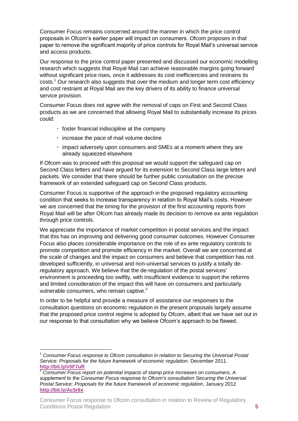Consumer Focus remains concerned around the manner in which the price control proposals in Ofcom's earlier paper will impact on consumers. Ofcom proposes in that paper to remove the significant majority of price controls for Royal Mail's universal service and access products.

Our response to the price control paper presented and discussed our economic modelling research which suggests that Royal Mail can achieve reasonable margins going forward without significant price rises, once it addresses its cost inefficiencies and restrains its costs.<sup>1</sup> Our research also suggests that over the medium and longer term cost efficiency and cost restraint at Royal Mail are the key drivers of its ability to finance universal service provision.

Consumer Focus does not agree with the removal of caps on First and Second Class products as we are concerned that allowing Royal Mail to substantially increase its prices could:

- foster financial indiscipline at the company
- $\cdot$  increase the pace of mail volume decline
- impact adversely upon consumers and SMEs at a moment where they are already squeezed elsewhere

If Ofcom was to proceed with this proposal we would support the safeguard cap on Second Class letters and have argued for its extension to Second Class large letters and packets. We consider that there should be further public consultation on the precise framework of an extended safeguard cap on Second Class products.

Consumer Focus is supportive of the approach in the proposed regulatory accounting condition that seeks to increase transparency in relation to Royal Mail's costs. However we are concerned that the timing for the provision of the first accounting reports from Royal Mail will be after Ofcom has already made its decision to remove ex ante regulation through price controls.

We appreciate the importance of market competition in postal services and the impact that this has on improving and delivering good consumer outcomes. However Consumer Focus also places considerable importance on the role of ex ante regulatory controls to promote competition and promote efficiency in the market. Overall we are concerned at the scale of changes and the impact on consumers and believe that competition has not developed sufficiently, in universal and non-universal services to justify a totally deregulatory approach. We believe that the de-regulation of the postal services' environment is proceeding too swiftly, with insufficient evidence to support the reforms and limited consideration of the impact this will have on consumers and particularly vulnerable consumers, who remain captive. $2^2$ 

In order to be helpful and provide a measure of assistance our responses to the consultation questions on economic regulation in the present proposals largely assume that the proposed price control regime is adopted by Ofcom, albeit that we have set out in our response to that consultation why we believe Ofcom's approach to be flawed.

1

<sup>1</sup> *Consumer Focus response to Ofcom consultation in relation to Securing the Universal Postal Service: Proposals for the future framework of economic regulation*. December 2011. **<http://bit.ly/v5F7uR>**

<sup>2</sup> *Consumer Focus report on potential impacts of stamp price increases on consumers, A supplement to the Consumer Focus response to Ofcom's consultation Securing the Universal Postal Service: Proposals for the future framework of economic regulation*, January 2012 **<http://bit.ly/Ac5r6x>**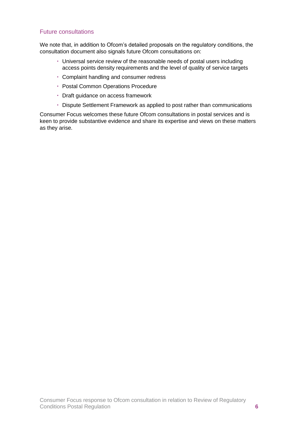## Future consultations

We note that, in addition to Ofcom's detailed proposals on the regulatory conditions, the consultation document also signals future Ofcom consultations on:

- Universal service review of the reasonable needs of postal users including access points density requirements and the level of quality of service targets
- Complaint handling and consumer redress
- Postal Common Operations Procedure
- Draft guidance on access framework
- Dispute Settlement Framework as applied to post rather than communications

Consumer Focus welcomes these future Ofcom consultations in postal services and is keen to provide substantive evidence and share its expertise and views on these matters as they arise.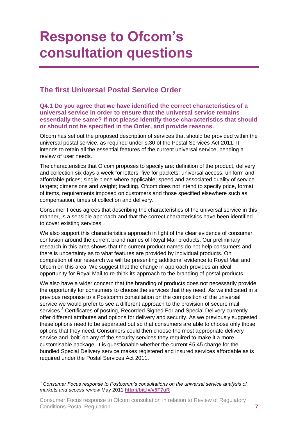# <span id="page-6-0"></span>**Response to Ofcom's consultation questions**

# <span id="page-6-1"></span>**The first Universal Postal Service Order**

#### **Q4.1 Do you agree that we have identified the correct characteristics of a universal service in order to ensure that the universal service remains essentially the same? If not please identify those characteristics that should or should not be specified in the Order, and provide reasons.**

Ofcom has set out the proposed description of services that should be provided within the universal postal service, as required under s.30 of the Postal Services Act 2011. It intends to retain all the essential features of the current universal service, pending a review of user needs.

The characteristics that Ofcom proposes to specify are: definition of the product, delivery and collection six days a week for letters, five for packets; universal access; uniform and affordable prices; single piece where applicable; speed and associated quality of service targets; dimensions and weight; tracking. Ofcom does not intend to specify price, format of items, requirements imposed on customers and those specified elsewhere such as compensation, times of collection and delivery.

Consumer Focus agrees that describing the characteristics of the universal service in this manner, is a sensible approach and that the correct characteristics have been identified to cover existing services.

We also support this characteristics approach in light of the clear evidence of consumer confusion around the current brand names of Royal Mail products. Our preliminary research in this area shows that the current product names do not help consumers and there is uncertainty as to what features are provided by individual products. On completion of our research we will be presenting additional evidence to Royal Mail and Ofcom on this area. We suggest that the change in approach provides an ideal opportunity for Royal Mail to re-think its approach to the branding of postal products.

We also have a wider concern that the branding of products does not necessarily provide the opportunity for consumers to choose the services that they need. As we indicated in a previous response to a Postcomm consultation on the composition of the universal service we would prefer to see a different approach to the provision of secure mail services.<sup>3</sup> Certificates of posting, Recorded Signed For and Special Delivery currently offer different attributes and options for delivery and security. As we previously suggested these options need to be separated out so that consumers are able to choose only those options that they need. Consumers could then choose the most appropriate delivery service and 'bolt' on any of the security services they required to make it a more customisable package. It is questionable whether the current £5.45 charge for the bundled Special Delivery service makes registered and insured services affordable as is required under the Postal Services Act 2011.

<sup>3</sup> <sup>3</sup> *Consumer Focus response to Postcomm's consultations on the universal service analysis of markets and access review* May 2011 **<http://bit.ly/v5F7uR>**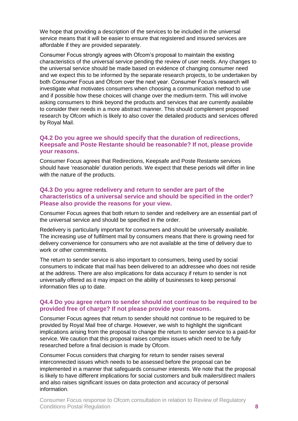We hope that providing a description of the services to be included in the universal service means that it will be easier to ensure that registered and insured services are affordable if they are provided separately.

Consumer Focus strongly agrees with Ofcom's proposal to maintain the existing characteristics of the universal service pending the review of user needs. Any changes to the universal service should be made based on evidence of changing consumer need and we expect this to be informed by the separate research projects, to be undertaken by both Consumer Focus and Ofcom over the next year. Consumer Focus's research will investigate what motivates consumers when choosing a communication method to use and if possible how these choices will change over the medium-term. This will involve asking consumers to think beyond the products and services that are currently available to consider their needs in a more abstract manner. This should complement proposed research by Ofcom which is likely to also cover the detailed products and services offered by Royal Mail.

## **Q4.2 Do you agree we should specify that the duration of redirections, Keepsafe and Poste Restante should be reasonable? If not, please provide your reasons.**

Consumer Focus agrees that Redirections, Keepsafe and Poste Restante services should have 'reasonable' duration periods. We expect that these periods will differ in line with the nature of the products.

#### **Q4.3 Do you agree redelivery and return to sender are part of the characteristics of a universal service and should be specified in the order? Please also provide the reasons for your view.**

Consumer Focus agrees that both return to sender and redelivery are an essential part of the universal service and should be specified in the order.

Redelivery is particularly important for consumers and should be universally available. The increasing use of fulfilment mail by consumers means that there is growing need for delivery convenience for consumers who are not available at the time of delivery due to work or other commitments.

The return to sender service is also important to consumers, being used by social consumers to indicate that mail has been delivered to an addressee who does not reside at the address. There are also implications for data accuracy if return to sender is not universally offered as it may impact on the ability of businesses to keep personal information files up to date.

#### **Q4.4 Do you agree return to sender should not continue to be required to be provided free of charge? If not please provide your reasons.**

Consumer Focus agrees that return to sender should not continue to be required to be provided by Royal Mail free of charge. However, we wish to highlight the significant implications arising from the proposal to change the return to sender service to a paid-for service. We caution that this proposal raises complex issues which need to be fully researched before a final decision is made by Ofcom.

Consumer Focus considers that charging for return to sender raises several interconnected issues which needs to be assessed before the proposal can be implemented in a manner that safeguards consumer interests. We note that the proposal is likely to have different implications for social customers and bulk mailers/direct mailers and also raises significant issues on data protection and accuracy of personal information.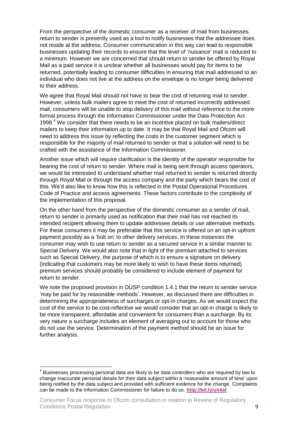From the perspective of the domestic consumer as a receiver of mail from businesses, return to sender is presently used as a tool to notify businesses that the addressee does not reside at the address. Consumer communication in this way can lead to responsible businesses updating their records to ensure that the level of 'nuisance' mail is reduced to a minimum. However we are concerned that should return to sender be offered by Royal Mail as a paid service it is unclear whether all businesses would pay for items to be returned, potentially leading to consumer difficulties in ensuring that mail addressed to an individual who does not live at the address on the envelope is no longer being delivered to their address.

We agree that Royal Mail should not have to bear the cost of returning mail to sender. However, unless bulk mailers agree to meet the cost of returned incorrectly addressed mail, consumers will be unable to stop delivery of this mail without reference to the more formal process through the Information Commissioner under the Data Protection Act 1998. <sup>4</sup> We consider that there needs to be an incentive placed on bulk mailers/direct mailers to keep their information up to date. It may be that Royal Mail and Ofcom will need to address this issue by reflecting the costs in the customer segment which is responsible for the majority of mail returned to sender or that a solution will need to be crafted with the assistance of the Information Commissioner.

Another issue which will require clarification is the identity of the operator responsible for bearing the cost of return to sender. Where mail is being sent through access operators, we would be interested to understand whether mail returned to sender is returned directly through Royal Mail or through the access company and the party which bears the cost of this. We'd also like to know how this is reflected in the Postal Operational Procedures Code of Practice and access agreements. These factors contribute to the complexity of the implementation of this proposal.

On the other hand from the perspective of the domestic consumer as a sender of mail, return to sender is primarily used as notification that their mail has not reached its intended recipient allowing them to update addressee details or use alternative methods. For these consumers it may be preferable that this service is offered on an opt-in upfront payment possibly as a 'bolt on' to other delivery services. In these instances the consumer may wish to use return to sender as a secured service in a similar manner to Special Delivery. We would also note that in light of the premium attached to services such as Special Delivery, the purpose of which is to ensure a signature on delivery (indicating that customers may be more likely to wish to have these items returned) premium services should probably be considered to include element of payment for return to sender.

We note the proposed provision in DUSP condition 1.4.1 that the return to sender service 'may be paid for by reasonable methods'. However, as discussed there are difficulties in determining the appropriateness of surcharges or opt-in charges. As we would expect the cost of the service to be cost-reflective we would consider that an opt-in charge is likely to be more transparent, affordable and convenient for consumers than a surcharge. By its very nature a surcharge includes an element of averaging out to account for those who do not use the service. Determination of the payment method should be an issue for further analysis.

1

 $4$  Businesses processing personal data are likely to be data controllers who are required by law to change inaccurate personal details for their data subject within a 'reasonable amount of time' upon being notified by the data subject and provided with sufficient evidence for the change. Complaints can be made to the Information Commissioner for failure to do so. **<http://bit.ly/yit4af>**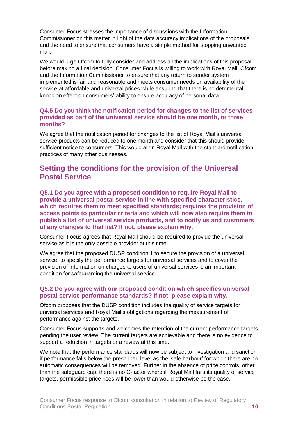Consumer Focus stresses the importance of discussions with the Information Commissioner on this matter in light of the data accuracy implications of the proposals and the need to ensure that consumers have a simple method for stopping unwanted mail.

We would urge Ofcom to fully consider and address all the implications of this proposal before making a final decision. Consumer Focus is willing to work with Royal Mail, Ofcom and the Information Commissioner to ensure that any return to sender system implemented is fair and reasonable and meets consumer needs on availability of the service at affordable and universal prices while ensuring that there is no detrimental knock on effect on consumers' ability to ensure accuracy of personal data.

#### **Q4.5 Do you think the notification period for changes to the list of services provided as part of the universal service should be one month, or three months?**

We agree that the notification period for changes to the list of Royal Mail's universal service products can be reduced to one month and consider that this should provide sufficient notice to consumers. This would align Royal Mail with the standard notification practices of many other businesses.

## <span id="page-9-0"></span>**Setting the conditions for the provision of the Universal Postal Service**

**Q5.1 Do you agree with a proposed condition to require Royal Mail to provide a universal postal service in line with specified characteristics, which requires them to meet specified standards; requires the provision of access points to particular criteria and which will now also require them to publish a list of universal service products, and to notify us and customers of any changes to that list? If not, please explain why.** 

Consumer Focus agrees that Royal Mail should be required to provide the universal service as it is the only possible provider at this time.

We agree that the proposed DUSP condition 1 to secure the provision of a universal service, to specify the performance targets for universal services and to cover the provision of information on charges to users of universal services is an important condition for safeguarding the universal service.

#### **Q5.2 Do you agree with our proposed condition which specifies universal postal service performance standards? If not, please explain why.**

Ofcom proposes that the DUSP condition includes the quality of service targets for universal services and Royal Mail's obligations regarding the measurement of performance against the targets.

Consumer Focus supports and welcomes the retention of the current performance targets pending the user review. The current targets are achievable and there is no evidence to support a reduction in targets or a review at this time.

We note that the performance standards will now be subject to investigation and sanction if performance falls below the prescribed level as the 'safe harbour' for which there are no automatic consequences will be removed. Further in the absence of price controls, other than the safeguard cap, there is no C-factor where if Royal Mail fails its quality of service targets, permissible price rises will be lower than would otherwise be the case.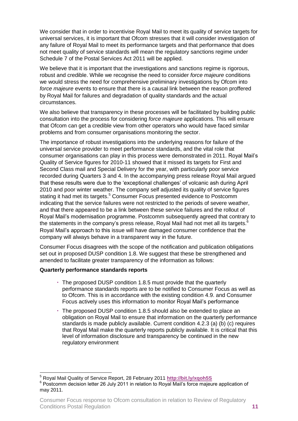We consider that in order to incentivise Royal Mail to meet its quality of service targets for universal services, it is important that Ofcom stresses that it will consider investigation of any failure of Royal Mail to meet its performance targets and that performance that does not meet quality of service standards will mean the regulatory sanctions regime under Schedule 7 of the Postal Services Act 2011 will be applied.

We believe that it is important that the investigations and sanctions regime is rigorous, robust and credible. While we recognise the need to consider *force majeure* conditions we would stress the need for comprehensive preliminary investigations by Ofcom into *force majeure* events to ensure that there is a causal link between the reason proffered by Royal Mail for failures and degradation of quality standards and the actual circumstances.

We also believe that transparency in these processes will be facilitated by building public consultation into the process for considering *force majeure* applications. This will ensure that Ofcom can get a credible view from other operators who would have faced similar problems and from consumer organisations monitoring the sector.

The importance of robust investigations into the underlying reasons for failure of the universal service provider to meet performance standards, and the vital role that consumer organisations can play in this process were demonstrated in 2011. Royal Mail's Quality of Service figures for 2010-11 showed that it missed its targets for First and Second Class mail and Special Delivery for the year, with particularly poor service recorded during Quarters 3 and 4. In the accompanying press release Royal Mail argued that these results were due to the 'exceptional challenges' of volcanic ash during April 2010 and poor winter weather. The company self adjusted its quality of service figures stating it had met its targets.<sup>5</sup> Consumer Focus presented evidence to Postcomm indicating that the service failures were not restricted to the periods of severe weather, and that there appeared to be a link between these service failures and the rollout of Royal Mail's modernisation programme. Postcomm subsequently agreed that contrary to the statements in the company's press release, Royal Mail had not met all its targets. $6$ Royal Mail's approach to this issue will have damaged consumer confidence that the company will always behave in a transparent way in the future.

Consumer Focus disagrees with the scope of the notification and publication obligations set out in proposed DUSP condition 1.8. We suggest that these be strengthened and amended to facilitate greater transparency of the information as follows:

#### **Quarterly performance standards reports**

- The proposed DUSP condition 1.8.5 must provide that the quarterly performance standards reports are to be notified to Consumer Focus as well as to Ofcom. This is in accordance with the existing condition 4.9. and Consumer Focus actively uses this information to monitor Royal Mail's performance
- The proposed DUSP condition 1.8.5 should also be extended to place an obligation on Royal Mail to ensure that information on the quarterly performance standards is made publicly available. Current condition 4.2.3 (a) (b) (c) requires that Royal Mail make the quarterly reports publicly available. It is critical that this level of information disclosure and transparency be continued in the new regulatory environment

<sup>&</sup>lt;u>.</u> <sup>5</sup> Royal Mail Quality of Service Report, 28 February 2011 **<http://bit.ly/xqoh5S>**

<sup>&</sup>lt;sup>6</sup> Postcomm decision letter 26 July 2011 in relation to Royal Mail's force majeure application of may 2011.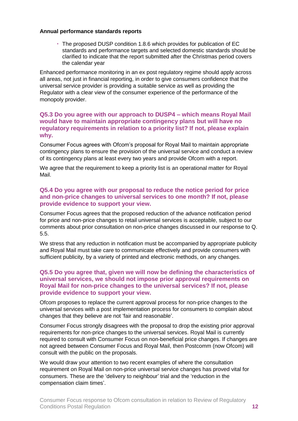#### **Annual performance standards reports**

 The proposed DUSP condition 1.8.6 which provides for publication of EC standards and performance targets and selected domestic standards should be clarified to indicate that the report submitted after the Christmas period covers the calendar year

Enhanced performance monitoring in an ex post regulatory regime should apply across all areas, not just in financial reporting, in order to give consumers confidence that the universal service provider is providing a suitable service as well as providing the Regulator with a clear view of the consumer experience of the performance of the monopoly provider.

#### **Q5.3 Do you agree with our approach to DUSP4 – which means Royal Mail would have to maintain appropriate contingency plans but will have no regulatory requirements in relation to a priority list? If not, please explain why.**

Consumer Focus agrees with Ofcom's proposal for Royal Mail to maintain appropriate contingency plans to ensure the provision of the universal service and conduct a review of its contingency plans at least every two years and provide Ofcom with a report.

We agree that the requirement to keep a priority list is an operational matter for Royal Mail.

### **Q5.4 Do you agree with our proposal to reduce the notice period for price and non-price changes to universal services to one month? If not, please provide evidence to support your view.**

Consumer Focus agrees that the proposed reduction of the advance notification period for price and non-price changes to retail universal services is acceptable, subject to our comments about prior consultation on non-price changes discussed in our response to Q. 5.5.

We stress that any reduction in notification must be accompanied by appropriate publicity and Royal Mail must take care to communicate effectively and provide consumers with sufficient publicity, by a variety of printed and electronic methods, on any changes.

#### **Q5.5 Do you agree that, given we will now be defining the characteristics of universal services, we should not impose prior approval requirements on Royal Mail for non-price changes to the universal services? If not, please provide evidence to support your view.**

Ofcom proposes to replace the current approval process for non-price changes to the universal services with a post implementation process for consumers to complain about changes that they believe are not 'fair and reasonable'.

Consumer Focus strongly disagrees with the proposal to drop the existing prior approval requirements for non-price changes to the universal services. Royal Mail is currently required to consult with Consumer Focus on non-beneficial price changes. If changes are not agreed between Consumer Focus and Royal Mail, then Postcomm (now Ofcom) will consult with the public on the proposals.

We would draw your attention to two recent examples of where the consultation requirement on Royal Mail on non-price universal service changes has proved vital for consumers. These are the 'delivery to neighbour' trial and the 'reduction in the compensation claim times'.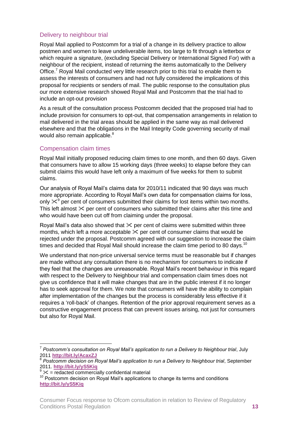## Delivery to neighbour trial

Royal Mail applied to Postcomm for a trial of a change in its delivery practice to allow postmen and women to leave undeliverable items, too large to fit through a letterbox or which require a signature, (excluding Special Delivery or International Signed For) with a neighbour of the recipient, instead of returning the items automatically to the Delivery Office.<sup>7</sup> Royal Mail conducted very little research prior to this trial to enable them to assess the interests of consumers and had not fully considered the implications of this proposal for recipients or senders of mail. The public response to the consultation plus our more extensive research showed Royal Mail and Postcomm that the trial had to include an opt-out provision

As a result of the consultation process Postcomm decided that the proposed trial had to include provision for consumers to opt-out, that compensation arrangements in relation to mail delivered in the trial areas should be applied in the same way as mail delivered elsewhere and that the obligations in the Mail Integrity Code governing security of mail would also remain applicable.<sup>8</sup>

## Compensation claim times

Royal Mail initially proposed reducing claim times to one month, and then 60 days. Given that consumers have to allow 15 working days (three weeks) to elapse before they can submit claims this would have left only a maximum of five weeks for them to submit claims.

Our analysis of Royal Mail's claims data for 2010/11 indicated that 90 days was much more appropriate. According to Royal Mail's own data for compensation claims for loss, only  $\mathbb{X}^9$  per cent of consumers submitted their claims for lost items within two months. This left almost  $\times$  per cent of consumers who submitted their claims after this time and who would have been cut off from claiming under the proposal.

Royal Mail's data also showed that  $\times$  per cent of claims were submitted within three months, which left a more acceptable  $\times$  per cent of consumer claims that would be rejected under the proposal. Postcomm agreed with our suggestion to increase the claim times and decided that Royal Mail should increase the claim time period to 80 days.<sup>10</sup>

We understand that non-price universal service terms must be reasonable but if changes are made without any consultation there is no mechanism for consumers to indicate if they feel that the changes are unreasonable. Royal Mail's recent behaviour in this regard with respect to the Delivery to Neighbour trial and compensation claim times does not give us confidence that it will make changes that are in the public interest if it no longer has to seek approval for them. We note that consumers will have the ability to complain after implementation of the changes but the process is considerably less effective if it requires a 'roll-back' of changes. Retention of the prior approval requirement serves as a constructive engagement process that can prevent issues arising, not just for consumers but also for Royal Mail.

 7 *Postcomm's consultation on Royal Mail's application to run a Delivery to Neighbour trial*, July 2011 **<http://bit.ly/AcaxZJ>**

<sup>8</sup> *Postcomm decision on Royal Mail's application to run a Delivery to Neighbour trial*, September 2011. **<http://bit.ly/yS5Kiq>**

 $\frac{1}{9}$   $\times$  = redacted commercially confidential material

<sup>&</sup>lt;sup>10</sup> Postcomm decision on Royal Mail's applications to change its terms and conditions **<http://bit.ly/yS5Kiq>**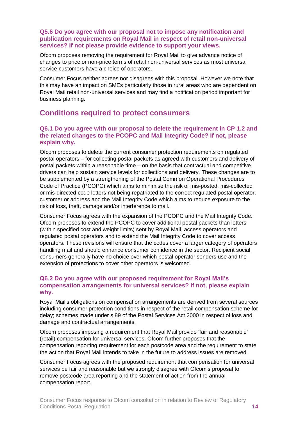### **Q5.6 Do you agree with our proposal not to impose any notification and publication requirements on Royal Mail in respect of retail non-universal services? If not please provide evidence to support your views.**

Ofcom proposes removing the requirement for Royal Mail to give advance notice of changes to price or non-price terms of retail non-universal services as most universal service customers have a choice of operators.

Consumer Focus neither agrees nor disagrees with this proposal. However we note that this may have an impact on SMEs particularly those in rural areas who are dependent on Royal Mail retail non-universal services and may find a notification period important for business planning.

# <span id="page-13-0"></span>**Conditions required to protect consumers**

#### **Q6.1 Do you agree with our proposal to delete the requirement in CP 1.2 and the related changes to the PCOPC and Mail Integrity Code? If not, please explain why.**

Ofcom proposes to delete the current consumer protection requirements on regulated postal operators – for collecting postal packets as agreed with customers and delivery of postal packets within a reasonable time – on the basis that contractual and competitive drivers can help sustain service levels for collections and delivery. These changes are to be supplemented by a strengthening of the Postal Common Operational Procedures Code of Practice (PCOPC) which aims to minimise the risk of mis-posted, mis-collected or mis-directed code letters not being repatriated to the correct regulated postal operator, customer or address and the Mail Integrity Code which aims to reduce exposure to the risk of loss, theft, damage and/or interference to mail.

Consumer Focus agrees with the expansion of the PCOPC and the Mail Integrity Code. Ofcom proposes to extend the PCOPC to cover additional postal packets than letters (within specified cost and weight limits) sent by Royal Mail, access operators and regulated postal operators and to extend the Mail Integrity Code to cover access operators. These revisions will ensure that the codes cover a larger category of operators handling mail and should enhance consumer confidence in the sector. Recipient social consumers generally have no choice over which postal operator senders use and the extension of protections to cover other operators is welcomed.

## **Q6.2 Do you agree with our proposed requirement for Royal Mail's compensation arrangements for universal services? If not, please explain why.**

Royal Mail's obligations on compensation arrangements are derived from several sources including consumer protection conditions in respect of the retail compensation scheme for delay; schemes made under s.89 of the Postal Services Act 2000 in respect of loss and damage and contractual arrangements.

Ofcom proposes imposing a requirement that Royal Mail provide 'fair and reasonable' (retail) compensation for universal services. Ofcom further proposes that the compensation reporting requirement for each postcode area and the requirement to state the action that Royal Mail intends to take in the future to address issues are removed.

Consumer Focus agrees with the proposed requirement that compensation for universal services be fair and reasonable but we strongly disagree with Ofcom's proposal to remove postcode area reporting and the statement of action from the annual compensation report.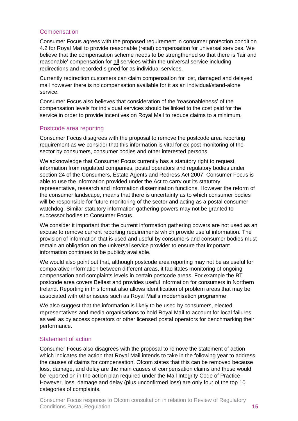## **Compensation**

Consumer Focus agrees with the proposed requirement in consumer protection condition 4.2 for Royal Mail to provide reasonable (retail) compensation for universal services. We believe that the compensation scheme needs to be strengthened so that there is 'fair and reasonable' compensation for all services within the universal service including redirections and recorded signed for as individual services.

Currently redirection customers can claim compensation for lost, damaged and delayed mail however there is no compensation available for it as an individual/stand-alone service.

Consumer Focus also believes that consideration of the 'reasonableness' of the compensation levels for individual services should be linked to the cost paid for the service in order to provide incentives on Royal Mail to reduce claims to a minimum.

### Postcode area reporting

Consumer Focus disagrees with the proposal to remove the postcode area reporting requirement as we consider that this information is vital for ex post monitoring of the sector by consumers, consumer bodies and other interested persons

We acknowledge that Consumer Focus currently has a statutory right to request information from regulated companies, postal operators and regulatory bodies under section 24 of the Consumers, Estate Agents and Redress Act 2007. Consumer Focus is able to use the information provided under the Act to carry out its statutory representative, research and information dissemination functions. However the reform of the consumer landscape, means that there is uncertainty as to which consumer bodies will be responsible for future monitoring of the sector and acting as a postal consumer watchdog. Similar statutory information gathering powers may not be granted to successor bodies to Consumer Focus.

We consider it important that the current information gathering powers are not used as an excuse to remove current reporting requirements which provide useful information. The provision of information that is used and useful by consumers and consumer bodies must remain an obligation on the universal service provider to ensure that important information continues to be publicly available.

We would also point out that, although postcode area reporting may not be as useful for comparative information between different areas, it facilitates monitoring of ongoing compensation and complaints levels in certain postcode areas. For example the BT postcode area covers Belfast and provides useful information for consumers in Northern Ireland. Reporting in this format also allows identification of problem areas that may be associated with other issues such as Royal Mail's modernisation programme.

We also suggest that the information is likely to be used by consumers, elected representatives and media organisations to hold Royal Mail to account for local failures as well as by access operators or other licensed postal operators for benchmarking their performance.

### Statement of action

Consumer Focus also disagrees with the proposal to remove the statement of action which indicates the action that Royal Mail intends to take in the following year to address the causes of claims for compensation. Ofcom states that this can be removed because loss, damage, and delay are the main causes of compensation claims and these would be reported on in the action plan required under the Mail Integrity Code of Practice. However, loss, damage and delay (plus unconfirmed loss) are only four of the top 10 categories of complaints.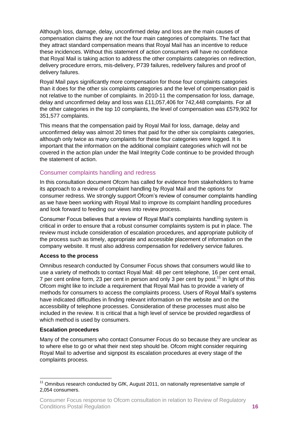Although loss, damage, delay, unconfirmed delay and loss are the main causes of compensation claims they are not the four main categories of complaints. The fact that they attract standard compensation means that Royal Mail has an incentive to reduce these incidences. Without this statement of action consumers will have no confidence that Royal Mail is taking action to address the other complaints categories on redirection, delivery procedure errors, mis-delivery, P739 failures, redelivery failures and proof of delivery failures.

Royal Mail pays significantly more compensation for those four complaints categories than it does for the other six complaints categories and the level of compensation paid is not relative to the number of complaints. In 2010-11 the compensation for loss, damage, delay and unconfirmed delay and loss was £11,057,406 for 742,448 complaints. For all the other categories in the top 10 complaints, the level of compensation was £579,902 for 351,577 complaints.

This means that the compensation paid by Royal Mail for loss, damage, delay and unconfirmed delay was almost 20 times that paid for the other six complaints categories, although only twice as many complaints for these four categories were logged. It is important that the information on the additional complaint categories which will not be covered in the action plan under the Mail Integrity Code continue to be provided through the statement of action.

## Consumer complaints handling and redress

In this consultation document Ofcom has called for evidence from stakeholders to frame its approach to a review of complaint handling by Royal Mail and the options for consumer redress. We strongly support Ofcom's review of consumer complaints handling as we have been working with Royal Mail to improve its complaint handling procedures and look forward to feeding our views into review process.

Consumer Focus believes that a review of Royal Mail's complaints handling system is critical in order to ensure that a robust consumer complaints system is put in place. The review must include consideration of escalation procedures, and appropriate publicity of the process such as timely, appropriate and accessible placement of information on the company website. It must also address compensation for redelivery service failures.

#### **Access to the process**

Omnibus research conducted by Consumer Focus shows that consumers would like to use a variety of methods to contact Royal Mail: 48 per cent telephone, 16 per cent email, 7 per cent online form, 23 per cent in person and only 3 per cent by post.<sup>11</sup> In light of this Ofcom might like to include a requirement that Royal Mail has to provide a variety of methods for consumers to access the complaints process. Users of Royal Mail's systems have indicated difficulties in finding relevant information on the website and on the accessibility of telephone processes. Consideration of these processes must also be included in the review. It is critical that a high level of service be provided regardless of which method is used by consumers.

#### **Escalation procedures**

<u>.</u>

Many of the consumers who contact Consumer Focus do so because they are unclear as to where else to go or what their next step should be. Ofcom might consider requiring Royal Mail to advertise and signpost its escalation procedures at every stage of the complaints process.

 $11$  Omnibus research conducted by GfK, August 2011, on nationally representative sample of 2,054 consumers.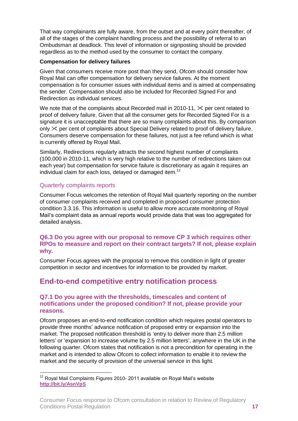That way complainants are fully aware, from the outset and at every point thereafter, of all of the stages of the complaint handling process and the possibility of referral to an Ombudsman at deadlock. This level of information or signposting should be provided regardless as to the method used by the consumer to contact the company.

#### **Compensation for delivery failures**

Given that consumers receive more post than they send, Ofcom should consider how Royal Mail can offer compensation for delivery service failures. At the moment compensation is for consumer issues with individual items and is aimed at compensating the sender. Compensation should also be included for Recorded Signed For and Redirection as individual services.

We note that of the complaints about Recorded mail in 2010-11,  $\&$  per cent related to proof of delivery failure. Given that all the consumer gets for Recorded Signed For is a signature it is unacceptable that there are so many complaints about this. By comparison only  $\&$  per cent of complaints about Special Delivery related to proof of delivery failure. Consumers deserve compensation for these failures, not just a fee refund which is what is currently offered by Royal Mail.

Similarly, Redirections regularly attracts the second highest number of complaints (100,000 in 2010-11, which is very high relative to the number of redirections taken out each year) but compensation for service failure is discretionary as again it requires an individual claim for each loss, delayed or damaged item.<sup>12</sup>

## Quarterly complaints reports

Consumer Focus welcomes the retention of Royal Mail quarterly reporting on the number of consumer complaints received and completed in proposed consumer protection condition 3.3.16. This information is useful to allow more accurate monitoring of Royal Mail's complaint data as annual reports would provide data that was too aggregated for detailed analysis.

#### **Q6.3 Do you agree with our proposal to remove CP 3 which requires other RPOs to measure and report on their contract targets? If not, please explain why.**

Consumer Focus agrees with the proposal to remove this condition in light of greater competition in sector and incentives for information to be provided by market.

# <span id="page-16-0"></span>**End-to-end competitive entry notification process**

#### **Q7.1 Do you agree with the thresholds, timescales and content of notifications under the proposed condition? If not, please provide your reasons.**

Ofcom proposes an end-to-end notification condition which requires postal operators to provide three months' advance notification of proposed entry or expansion into the market. The proposed notification threshold is 'entry to deliver more than 2.5 million letters' or 'expansion to increase volume by 2.5 million letters', anywhere in the UK in the following quarter. Ofcom states that notification is not a precondition for operating in the market and is intended to allow Ofcom to collect information to enable it to review the market and the security of provision of the universal service in this light.

<sup>&</sup>lt;u>.</u>  $12$  Royal Mail Complaints Figures 2010- 2011 available on Royal Mail's website **<http://bit.ly/AsnVpS>**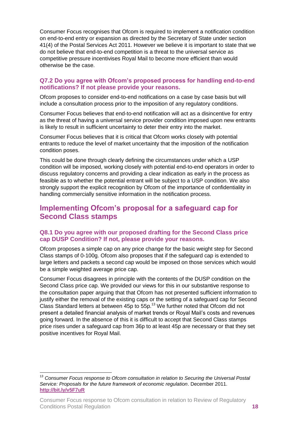Consumer Focus recognises that Ofcom is required to implement a notification condition on end-to-end entry or expansion as directed by the Secretary of State under section 41(4) of the Postal Services Act 2011. However we believe it is important to state that we do not believe that end-to-end competition is a threat to the universal service as competitive pressure incentivises Royal Mail to become more efficient than would otherwise be the case.

## **Q7.2 Do you agree with Ofcom's proposed process for handling end-to-end notifications? If not please provide your reasons.**

Ofcom proposes to consider end-to-end notifications on a case by case basis but will include a consultation process prior to the imposition of any regulatory conditions.

Consumer Focus believes that end-to-end notification will act as a disincentive for entry as the threat of having a universal service provider condition imposed upon new entrants is likely to result in sufficient uncertainty to deter their entry into the market.

Consumer Focus believes that it is critical that Ofcom works closely with potential entrants to reduce the level of market uncertainty that the imposition of the notification condition poses.

This could be done through clearly defining the circumstances under which a USP condition will be imposed, working closely with potential end-to-end operators in order to discuss regulatory concerns and providing a clear indication as early in the process as feasible as to whether the potential entrant will be subject to a USP condition. We also strongly support the explicit recognition by Ofcom of the importance of confidentiality in handling commercially sensitive information in the notification process.

# <span id="page-17-0"></span>**Implementing Ofcom's proposal for a safeguard cap for Second Class stamps**

## **Q8.1 Do you agree with our proposed drafting for the Second Class price cap DUSP Condition? If not, please provide your reasons.**

Ofcom proposes a simple cap on any price change for the basic weight step for Second Class stamps of 0-100g. Ofcom also proposes that if the safeguard cap is extended to large letters and packets a second cap would be imposed on those services which would be a simple weighted average price cap.

Consumer Focus disagrees in principle with the contents of the DUSP condition on the Second Class price cap. We provided our views for this in our substantive response to the consultation paper arguing that that Ofcom has not presented sufficient information to justify either the removal of the existing caps or the setting of a safeguard cap for Second Class Standard letters at between 45p to 55p.<sup>13</sup> We further noted that Ofcom did not present a detailed financial analysis of market trends or Royal Mail's costs and revenues going forward. In the absence of this it is difficult to accept that Second Class stamps price rises under a safeguard cap from 36p to at least 45p are necessary or that they set positive incentives for Royal Mail.

<u>.</u>

<sup>&</sup>lt;sup>13</sup> Consumer Focus response to Ofcom consultation in relation to Securing the Universal Postal *Service: Proposals for the future framework of economic regulation*. December 2011. **<http://bit.ly/v5F7uR>**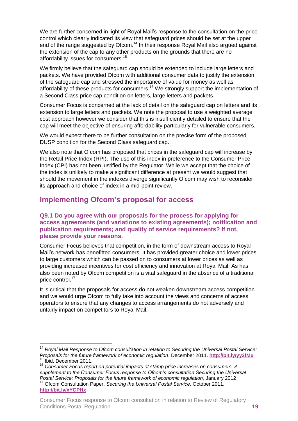We are further concerned in light of Royal Mail's response to the consultation on the price control which clearly indicated its view that safeguard prices should be set at the upper end of the range suggested by Ofcom.<sup>14</sup> In their response Royal Mail also argued against the extension of the cap to any other products on the grounds that there are no affordability issues for consumers.<sup>15</sup>

We firmly believe that the safeguard cap should be extended to include large letters and packets. We have provided Ofcom with additional consumer data to justify the extension of the safeguard cap and stressed the importance of value for money as well as affordability of these products for consumers.<sup>16</sup> We strongly support the implementation of a Second Class price cap condition on letters, large letters and packets.

Consumer Focus is concerned at the lack of detail on the safeguard cap on letters and its extension to large letters and packets. We note the proposal to use a weighted average cost approach however we consider that this is insufficiently detailed to ensure that the cap will meet the objective of ensuring affordability particularly for vulnerable consumers.

We would expect there to be further consultation on the precise form of the proposed DUSP condition for the Second Class safeguard cap.

We also note that Ofcom has proposed that prices in the safeguard cap will increase by the Retail Price Index (RPI). The use of this index in preference to the Consumer Price Index (CPI) has not been justified by the Regulator. While we accept that the choice of the index is unlikely to make a significant difference at present we would suggest that should the movement in the indexes diverge significantly Ofcom may wish to reconsider its approach and choice of index in a mid-point review.

# <span id="page-18-0"></span>**Implementing Ofcom's proposal for access**

### **Q9.1 Do you agree with our proposals for the process for applying for access agreements (and variations to existing agreements); notification and publication requirements; and quality of service requirements? If not, please provide your reasons.**

Consumer Focus believes that competition, in the form of downstream access to Royal Mail's network has benefitted consumers. It has provided greater choice and lower prices to large customers which can be passed on to consumers at lower prices as well as providing increased incentives for cost efficiency and innovation at Royal Mail. As has also been noted by Ofcom competition is a vital safeguard in the absence of a traditional price control.<sup>17</sup>

It is critical that the proposals for access do not weaken downstream access competition. and we would urge Ofcom to fully take into account the views and concerns of access operators to ensure that any changes to access arrangements do not adversely and unfairly impact on competitors to Royal Mail.

1

<sup>&</sup>lt;sup>14</sup> Roval Mail Response to Ofcom consultation in relation to Securing the Universal Postal Service: *Proposals for the future framework of economic regulation*. December 2011. **<http://bit.ly/yy3fMx>** <sup>15</sup> Ibid. December 2011.

<sup>16</sup> *Consumer Focus report on potential impacts of stamp price increases on consumers, A supplement to the Consumer Focus response to Ofcom's consultation Securing the Universal Postal Service: Proposals for the future framework of economic regulation*, January 2012 <sup>17</sup> Ofcom Consultation Paper, *Securing the Universal Postal Service*, October 2011.

**<http://bit.ly/xYCPHx>**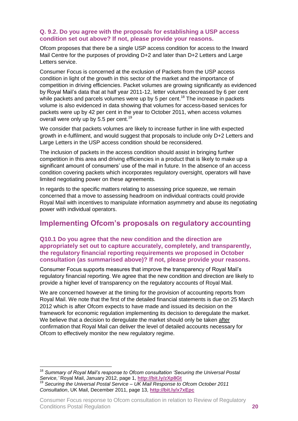## **Q. 9.2. Do you agree with the proposals for establishing a USP access condition set out above? If not, please provide your reasons.**

Ofcom proposes that there be a single USP access condition for access to the Inward Mail Centre for the purposes of providing D+2 and later than D+2 Letters and Large Letters service.

Consumer Focus is concerned at the exclusion of Packets from the USP access condition in light of the growth in this sector of the market and the importance of competition in driving efficiencies. Packet volumes are growing significantly as evidenced by Royal Mail's data that at half year 2011-12, letter volumes decreased by 6 per cent while packets and parcels volumes were up by 5 per cent.<sup>18</sup> The increase in packets volume is also evidenced in data showing that volumes for access-based services for packets were up by 42 per cent in the year to October 2011, when access volumes overall were only up by 5.5 per cent.<sup>19</sup>

We consider that packets volumes are likely to increase further in line with expected growth in e-fulfilment, and would suggest that proposals to include only D+2 Letters and Large Letters in the USP access condition should be reconsidered.

The inclusion of packets in the access condition should assist in bringing further competition in this area and driving efficiencies in a product that is likely to make up a significant amount of consumers' use of the mail in future. In the absence of an access condition covering packets which incorporates regulatory oversight, operators will have limited negotiating power on these agreements.

In regards to the specific matters relating to assessing price squeeze, we remain concerned that a move to assessing headroom on individual contracts could provide Royal Mail with incentives to manipulate information asymmetry and abuse its negotiating power with individual operators.

# <span id="page-19-0"></span>**Implementing Ofcom's proposals on regulatory accounting**

#### **Q10.1 Do you agree that the new condition and the direction are appropriately set out to capture accurately, completely, and transparently, the regulatory financial reporting requirements we proposed in October consultation (as summarised above)? If not, please provide your reasons.**

Consumer Focus supports measures that improve the transparency of Royal Mail's regulatory financial reporting. We agree that the new condition and direction are likely to provide a higher level of transparency on the regulatory accounts of Royal Mail.

We are concerned however at the timing for the provision of accounting reports from Royal Mail. We note that the first of the detailed financial statements is due on 25 March 2012 which is after Ofcom expects to have made and issued its decision on the framework for economic regulation implementing its decision to deregulate the market. We believe that a decision to deregulate the market should only be taken after confirmation that Royal Mail can deliver the level of detailed accounts necessary for Ofcom to effectively monitor the new regulatory regime.

<sup>1</sup> <sup>18</sup> *Summary of Royal Mail's response to Ofcom consultation 'Securing the Universal Postal Service,'* Royal Mail, January 2012, page 1, **<http://bit.ly/zXp8Gt>** <sup>19</sup> *Securing the Universal Postal Service* – *UK Mail Response to Ofcom October 2011 Consultation*, UK Mail, December 2011, page 13, **<http://bit.ly/x7xEpc>**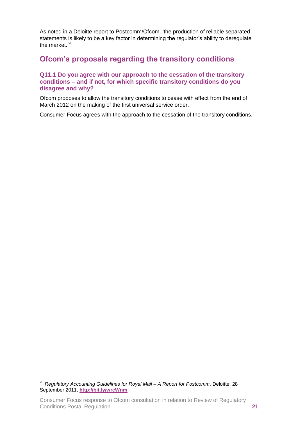As noted in a Deloitte report to Postcomm/Ofcom, 'the production of reliable separated statements is likely to be a key factor in determining the regulator's ability to deregulate the market.'<sup>20</sup>

# <span id="page-20-0"></span>**Ofcom's proposals regarding the transitory conditions**

#### **Q11.1 Do you agree with our approach to the cessation of the transitory conditions – and if not, for which specific transitory conditions do you disagree and why?**

Ofcom proposes to allow the transitory conditions to cease with effect from the end of March 2012 on the making of the first universal service order.

Consumer Focus agrees with the approach to the cessation of the transitory conditions.

<u>.</u>

<sup>20</sup> *Regulatory Accounting Guidelines for Royal Mail – A Report for Postcomm*, Deloitte, 28 September 2011, **<http://bit.ly/wrcWnm>**

Consumer Focus response to Ofcom consultation in relation to Review of Regulatory Conditions Postal Regulation **21**